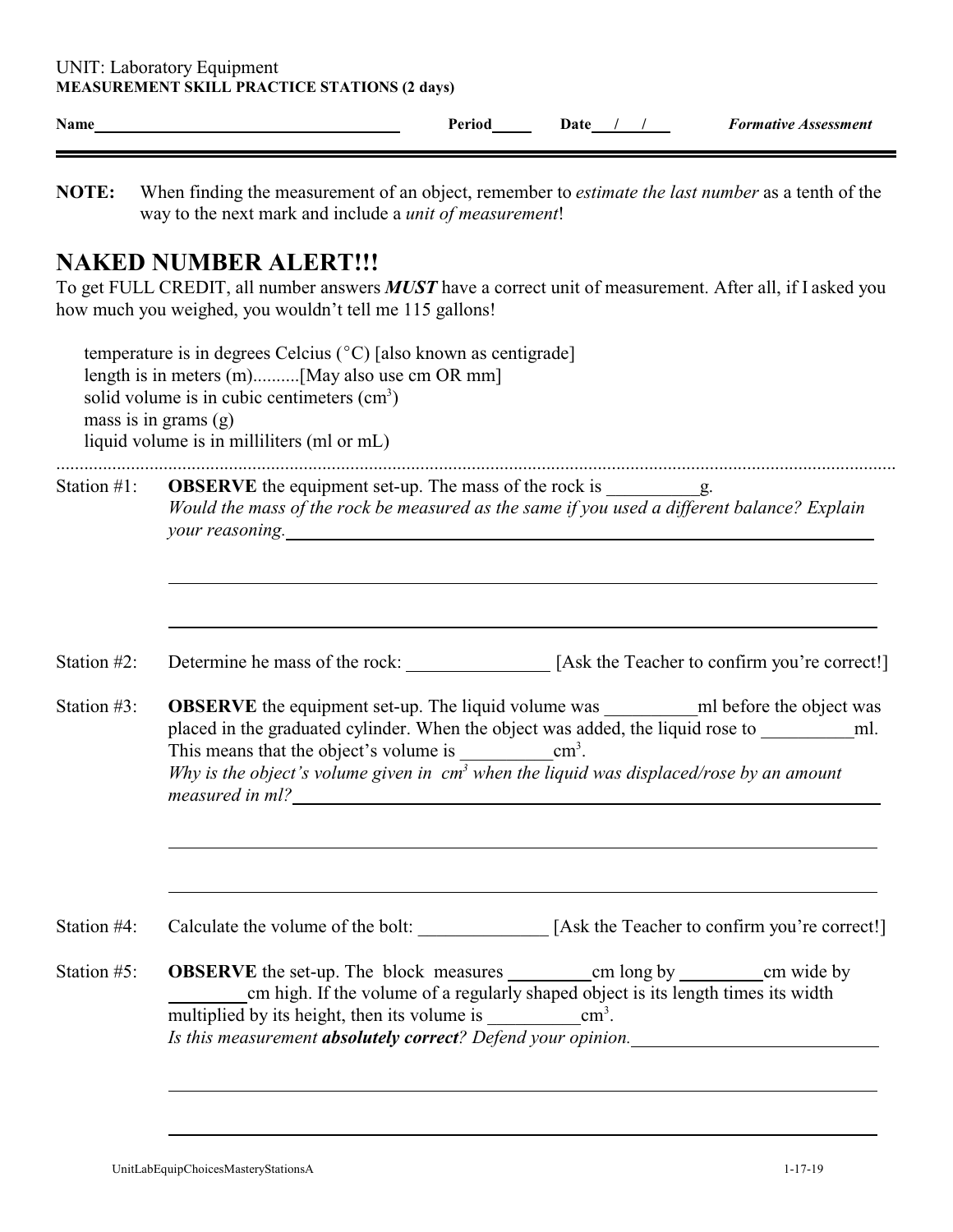| Name           | <b>Formative Assessment</b><br>Period<br>Date $/$ /                                                                                                                                                                                                                                                                                                                                                                                                                                            |  |  |  |  |
|----------------|------------------------------------------------------------------------------------------------------------------------------------------------------------------------------------------------------------------------------------------------------------------------------------------------------------------------------------------------------------------------------------------------------------------------------------------------------------------------------------------------|--|--|--|--|
| NOTE:          | When finding the measurement of an object, remember to <i>estimate the last number</i> as a tenth of the<br>way to the next mark and include a <i>unit of measurement</i> !                                                                                                                                                                                                                                                                                                                    |  |  |  |  |
|                | <b>NAKED NUMBER ALERT!!!</b><br>To get FULL CREDIT, all number answers <b>MUST</b> have a correct unit of measurement. After all, if I asked you<br>how much you weighed, you wouldn't tell me 115 gallons!                                                                                                                                                                                                                                                                                    |  |  |  |  |
|                | temperature is in degrees Celcius ( $\degree$ C) [also known as centigrade]<br>length is in meters (m)[May also use cm OR mm]<br>solid volume is in cubic centimeters $(cm3)$<br>mass is in grams $(g)$<br>liquid volume is in milliliters (ml or mL)                                                                                                                                                                                                                                          |  |  |  |  |
| Station #1:    | Would the mass of the rock be measured as the same if you used a different balance? Explain<br>your reasoning.                                                                                                                                                                                                                                                                                                                                                                                 |  |  |  |  |
| Station #2:    | Determine he mass of the rock: [Ask the Teacher to confirm you're correct!]                                                                                                                                                                                                                                                                                                                                                                                                                    |  |  |  |  |
| Station $#3$ : | <b>OBSERVE</b> the equipment set-up. The liquid volume was ____________ml before the object was<br>placed in the graduated cylinder. When the object was added, the liquid rose to<br>ml.<br>$\text{cm}^3$ .<br>This means that the object's volume is<br>Why is the object's volume given in $cm3$ when the liquid was displaced/rose by an amount<br>measured in ml?<br><u> 1980 - Jan Stein Stein Stein Stein Stein Stein Stein Stein Stein Stein Stein Stein Stein Stein Stein Stein S</u> |  |  |  |  |
| Station #4:    | Calculate the volume of the bolt: [Ask the Teacher to confirm you're correct!]                                                                                                                                                                                                                                                                                                                                                                                                                 |  |  |  |  |
| Station #5:    | cm high. If the volume of a regularly shaped object is its length times its width<br>Is this measurement absolutely correct? Defend your opinion.                                                                                                                                                                                                                                                                                                                                              |  |  |  |  |
|                |                                                                                                                                                                                                                                                                                                                                                                                                                                                                                                |  |  |  |  |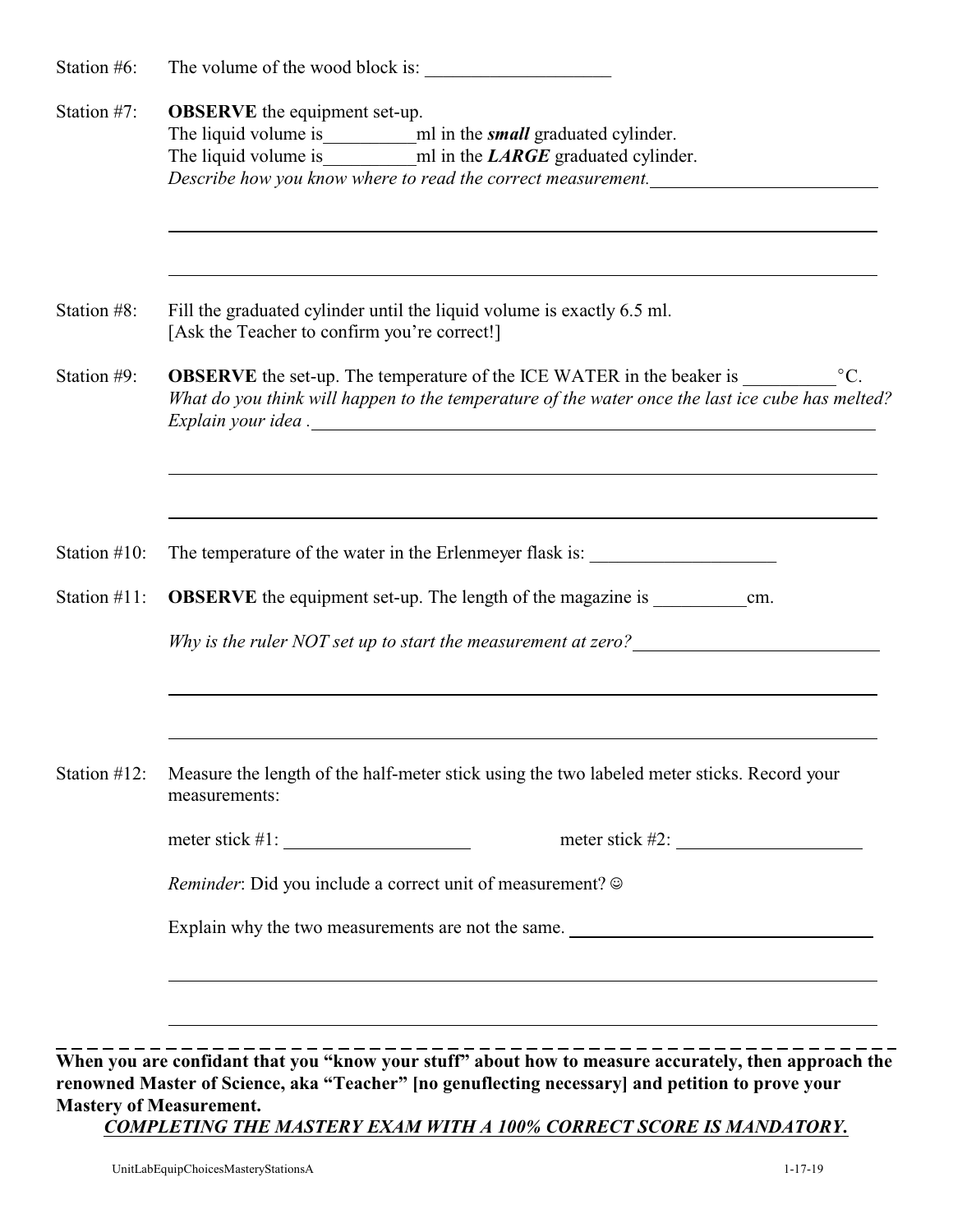| Station #6:                                                                                                                                                                     | The volume of the wood block is:                                                                                                                                                                                                           |  |  |  |  |  |
|---------------------------------------------------------------------------------------------------------------------------------------------------------------------------------|--------------------------------------------------------------------------------------------------------------------------------------------------------------------------------------------------------------------------------------------|--|--|--|--|--|
| Station #7:                                                                                                                                                                     | <b>OBSERVE</b> the equipment set-up.<br>The liquid volume is may make multimeter and in the LARGE graduated cylinder.<br>Describe how you know where to read the correct measurement.                                                      |  |  |  |  |  |
| Station #8:                                                                                                                                                                     | Fill the graduated cylinder until the liquid volume is exactly 6.5 ml.<br>[Ask the Teacher to confirm you're correct!]                                                                                                                     |  |  |  |  |  |
| Station #9:                                                                                                                                                                     | <b>OBSERVE</b> the set-up. The temperature of the ICE WATER in the beaker is<br>$\rm{^{\circ}C}.$<br>What do you think will happen to the temperature of the water once the last ice cube has melted?                                      |  |  |  |  |  |
| Station $#10$ :                                                                                                                                                                 | The temperature of the water in the Erlenmeyer flask is:                                                                                                                                                                                   |  |  |  |  |  |
| <b>OBSERVE</b> the equipment set-up. The length of the magazine is ____________________<br>Station #11:<br>cm.<br>Why is the ruler NOT set up to start the measurement at zero? |                                                                                                                                                                                                                                            |  |  |  |  |  |
| Station $#12$ :                                                                                                                                                                 | Measure the length of the half-meter stick using the two labeled meter sticks. Record your<br>measurements:                                                                                                                                |  |  |  |  |  |
|                                                                                                                                                                                 |                                                                                                                                                                                                                                            |  |  |  |  |  |
|                                                                                                                                                                                 | <i>Reminder</i> : Did you include a correct unit of measurement? ©                                                                                                                                                                         |  |  |  |  |  |
|                                                                                                                                                                                 | Explain why the two measurements are not the same.                                                                                                                                                                                         |  |  |  |  |  |
|                                                                                                                                                                                 | <u> 1989 - Andrea Andrew Maria (h. 1989).</u>                                                                                                                                                                                              |  |  |  |  |  |
|                                                                                                                                                                                 | When you are confidant that you "know your stuff" about how to measure accurately, then approach the<br>renowned Master of Science, aka "Teacher" [no genuflecting necessary] and petition to prove your<br><b>Mastery of Measurement.</b> |  |  |  |  |  |

*COMPLETING THE MASTERY EXAM WITH A 100% CORRECT SCORE IS MANDATORY.*